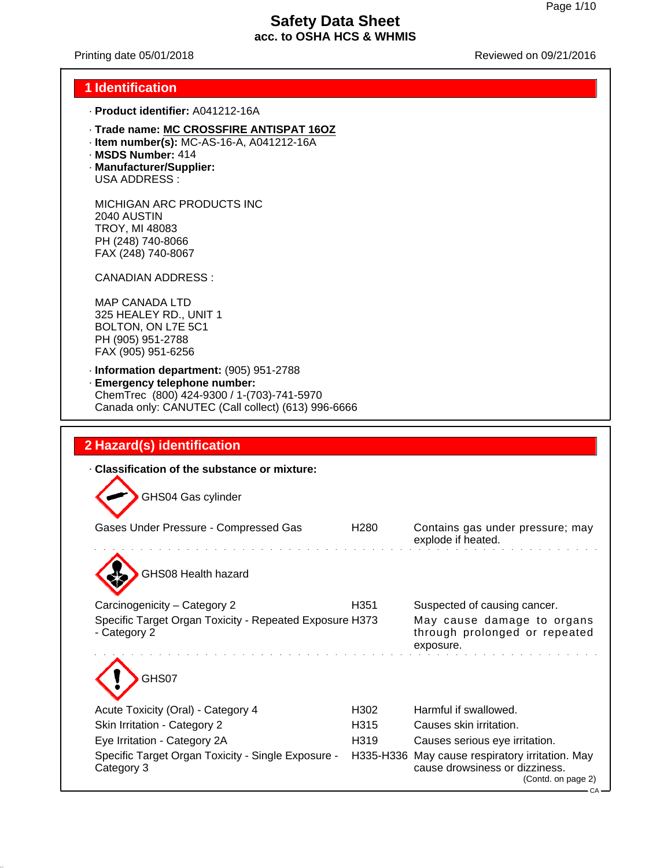Printing date 05/01/2018 **Printing date 05/01/2018** Reviewed on 09/21/2016

#### **1 Identification**

- · **Product identifier:** A041212-16A
- · **Trade name: MC CROSSFIRE ANTISPAT 16OZ**
- · **Item number(s):** MC-AS-16-A, A041212-16A
- · **MSDS Number:** 414
- · **Manufacturer/Supplier:** USA ADDRESS :

MICHIGAN ARC PRODUCTS INC 2040 AUSTIN TROY, MI 48083 PH (248) 740-8066 FAX (248) 740-8067

CANADIAN ADDRESS :

MAP CANADA LTD 325 HEALEY RD., UNIT 1 BOLTON, ON L7E 5C1 PH (905) 951-2788 FAX (905) 951-6256

· **Information department:** (905) 951-2788 · **Emergency telephone number:** ChemTrec (800) 424-9300 / 1-(703)-741-5970

Canada only: CANUTEC (Call collect) (613) 996-6666

### **2 Hazard(s) identification**

| Classification of the substance or mixture:                             |                  |                                                                                                                 |
|-------------------------------------------------------------------------|------------------|-----------------------------------------------------------------------------------------------------------------|
| GHS04 Gas cylinder                                                      |                  |                                                                                                                 |
| Gases Under Pressure - Compressed Gas                                   | H <sub>280</sub> | Contains gas under pressure; may<br>explode if heated.                                                          |
| GHS08 Health hazard                                                     |                  |                                                                                                                 |
| Carcinogenicity - Category 2                                            | H351             | Suspected of causing cancer.                                                                                    |
| Specific Target Organ Toxicity - Repeated Exposure H373<br>- Category 2 |                  | May cause damage to organs<br>through prolonged or repeated<br>exposure.                                        |
| GHS07                                                                   |                  |                                                                                                                 |
| Acute Toxicity (Oral) - Category 4                                      | H <sub>302</sub> | Harmful if swallowed.                                                                                           |
| Skin Irritation - Category 2                                            | H <sub>315</sub> | Causes skin irritation.                                                                                         |
| Eye Irritation - Category 2A                                            | H319             | Causes serious eye irritation.                                                                                  |
| Specific Target Organ Toxicity - Single Exposure -<br>Category 3        |                  | H335-H336 May cause respiratory irritation. May<br>cause drowsiness or dizziness.<br>(Contd. on page 2)<br>CA – |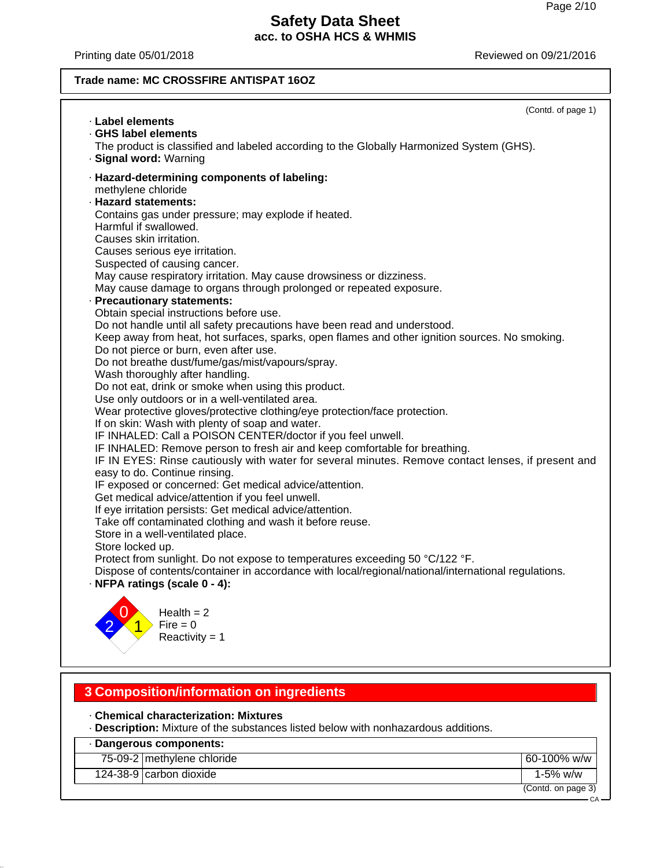Printing date 05/01/2018 **Printing date 05/01/2018** Reviewed on 09/21/2016

## **Trade name: MC CROSSFIRE ANTISPAT 16OZ**

| · Label elements                                                                                                                                                                                                                                                                                                                                                                                                                                                                                                                                                                                                                                                                                                                                                                                                                                                                                                                                                                                                                                                                                                                                                                                                                                                                                                                                                                                                                                                                                                          | (Contd. of page 1) |
|---------------------------------------------------------------------------------------------------------------------------------------------------------------------------------------------------------------------------------------------------------------------------------------------------------------------------------------------------------------------------------------------------------------------------------------------------------------------------------------------------------------------------------------------------------------------------------------------------------------------------------------------------------------------------------------------------------------------------------------------------------------------------------------------------------------------------------------------------------------------------------------------------------------------------------------------------------------------------------------------------------------------------------------------------------------------------------------------------------------------------------------------------------------------------------------------------------------------------------------------------------------------------------------------------------------------------------------------------------------------------------------------------------------------------------------------------------------------------------------------------------------------------|--------------------|
| · GHS label elements                                                                                                                                                                                                                                                                                                                                                                                                                                                                                                                                                                                                                                                                                                                                                                                                                                                                                                                                                                                                                                                                                                                                                                                                                                                                                                                                                                                                                                                                                                      |                    |
| The product is classified and labeled according to the Globally Harmonized System (GHS).<br>· Signal word: Warning                                                                                                                                                                                                                                                                                                                                                                                                                                                                                                                                                                                                                                                                                                                                                                                                                                                                                                                                                                                                                                                                                                                                                                                                                                                                                                                                                                                                        |                    |
| · Hazard-determining components of labeling:<br>methylene chloride<br>· Hazard statements:<br>Contains gas under pressure; may explode if heated.<br>Harmful if swallowed.<br>Causes skin irritation.<br>Causes serious eye irritation.<br>Suspected of causing cancer.<br>May cause respiratory irritation. May cause drowsiness or dizziness.<br>May cause damage to organs through prolonged or repeated exposure.<br>· Precautionary statements:<br>Obtain special instructions before use.<br>Do not handle until all safety precautions have been read and understood.<br>Keep away from heat, hot surfaces, sparks, open flames and other ignition sources. No smoking.<br>Do not pierce or burn, even after use.<br>Do not breathe dust/fume/gas/mist/vapours/spray.<br>Wash thoroughly after handling.<br>Do not eat, drink or smoke when using this product.<br>Use only outdoors or in a well-ventilated area.<br>Wear protective gloves/protective clothing/eye protection/face protection.<br>If on skin: Wash with plenty of soap and water.<br>IF INHALED: Call a POISON CENTER/doctor if you feel unwell.<br>IF INHALED: Remove person to fresh air and keep comfortable for breathing.<br>IF IN EYES: Rinse cautiously with water for several minutes. Remove contact lenses, if present and<br>easy to do. Continue rinsing.<br>IF exposed or concerned: Get medical advice/attention.<br>Get medical advice/attention if you feel unwell.<br>If eye irritation persists: Get medical advice/attention. |                    |
| Take off contaminated clothing and wash it before reuse.<br>Store in a well-ventilated place.                                                                                                                                                                                                                                                                                                                                                                                                                                                                                                                                                                                                                                                                                                                                                                                                                                                                                                                                                                                                                                                                                                                                                                                                                                                                                                                                                                                                                             |                    |
| Store locked up.                                                                                                                                                                                                                                                                                                                                                                                                                                                                                                                                                                                                                                                                                                                                                                                                                                                                                                                                                                                                                                                                                                                                                                                                                                                                                                                                                                                                                                                                                                          |                    |
| Protect from sunlight. Do not expose to temperatures exceeding 50 °C/122 °F.<br>Dispose of contents/container in accordance with local/regional/national/international regulations.<br>· NFPA ratings (scale 0 - 4):                                                                                                                                                                                                                                                                                                                                                                                                                                                                                                                                                                                                                                                                                                                                                                                                                                                                                                                                                                                                                                                                                                                                                                                                                                                                                                      |                    |
| Health $= 2$<br>Fire $= 0$<br>Reactivity = $1$                                                                                                                                                                                                                                                                                                                                                                                                                                                                                                                                                                                                                                                                                                                                                                                                                                                                                                                                                                                                                                                                                                                                                                                                                                                                                                                                                                                                                                                                            |                    |

## **3 Composition/information on ingredients**

· **Chemical characterization: Mixtures**

· **Description:** Mixture of the substances listed below with nonhazardous additions.

| · Dangerous components:    |                    |
|----------------------------|--------------------|
| 75-09-2 methylene chloride | 60-100% w/w        |
| 124-38-9 carbon dioxide    | 1-5% w/w           |
|                            | (Contd. on page 3) |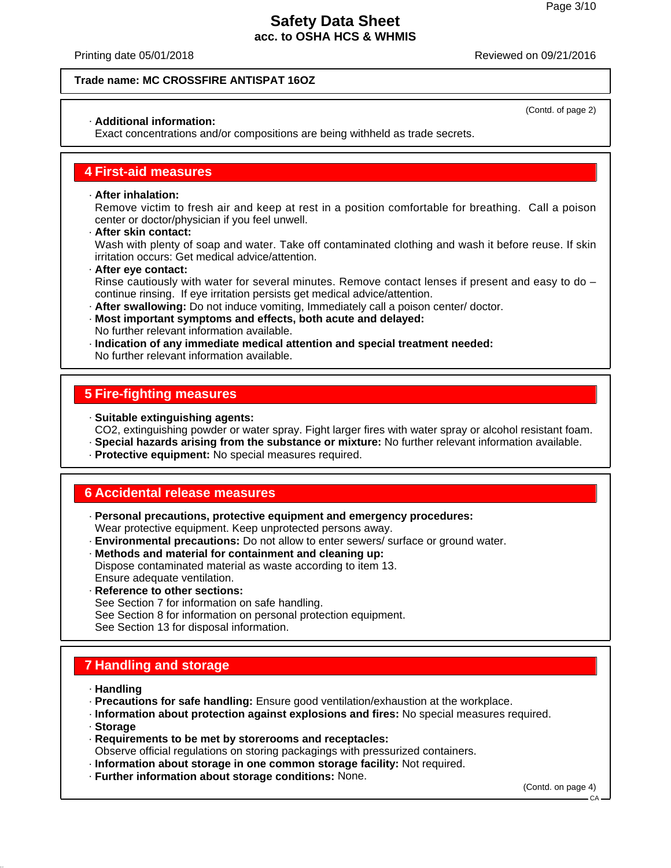Printing date 05/01/2018 Reviewed on 09/21/2016

#### **Trade name: MC CROSSFIRE ANTISPAT 16OZ**

#### · **Additional information:**

Exact concentrations and/or compositions are being withheld as trade secrets.

### **4 First-aid measures**

#### · **After inhalation:**

Remove victim to fresh air and keep at rest in a position comfortable for breathing. Call a poison center or doctor/physician if you feel unwell.

#### · **After skin contact:**

Wash with plenty of soap and water. Take off contaminated clothing and wash it before reuse. If skin irritation occurs: Get medical advice/attention.

· **After eye contact:**

Rinse cautiously with water for several minutes. Remove contact lenses if present and easy to do  $$ continue rinsing. If eye irritation persists get medical advice/attention.

- · **After swallowing:** Do not induce vomiting, Immediately call a poison center/ doctor.
- · **Most important symptoms and effects, both acute and delayed:** No further relevant information available.
- · **Indication of any immediate medical attention and special treatment needed:** No further relevant information available.

### **5 Fire-fighting measures**

- · **Suitable extinguishing agents:** CO2, extinguishing powder or water spray. Fight larger fires with water spray or alcohol resistant foam.
- · **Special hazards arising from the substance or mixture:** No further relevant information available.
- · **Protective equipment:** No special measures required.

### **6 Accidental release measures**

- · **Personal precautions, protective equipment and emergency procedures:** Wear protective equipment. Keep unprotected persons away.
- · **Environmental precautions:** Do not allow to enter sewers/ surface or ground water.
- · **Methods and material for containment and cleaning up:** Dispose contaminated material as waste according to item 13. Ensure adequate ventilation.
- · **Reference to other sections:**

See Section 7 for information on safe handling.

See Section 8 for information on personal protection equipment.

See Section 13 for disposal information.

### **7 Handling and storage**

- · **Handling**
- · **Precautions for safe handling:** Ensure good ventilation/exhaustion at the workplace.
- · **Information about protection against explosions and fires:** No special measures required.
- · **Storage**
- · **Requirements to be met by storerooms and receptacles:**
- Observe official regulations on storing packagings with pressurized containers.
- · **Information about storage in one common storage facility:** Not required.
- · **Further information about storage conditions:** None.

(Contd. on page 4)

(Contd. of page 2)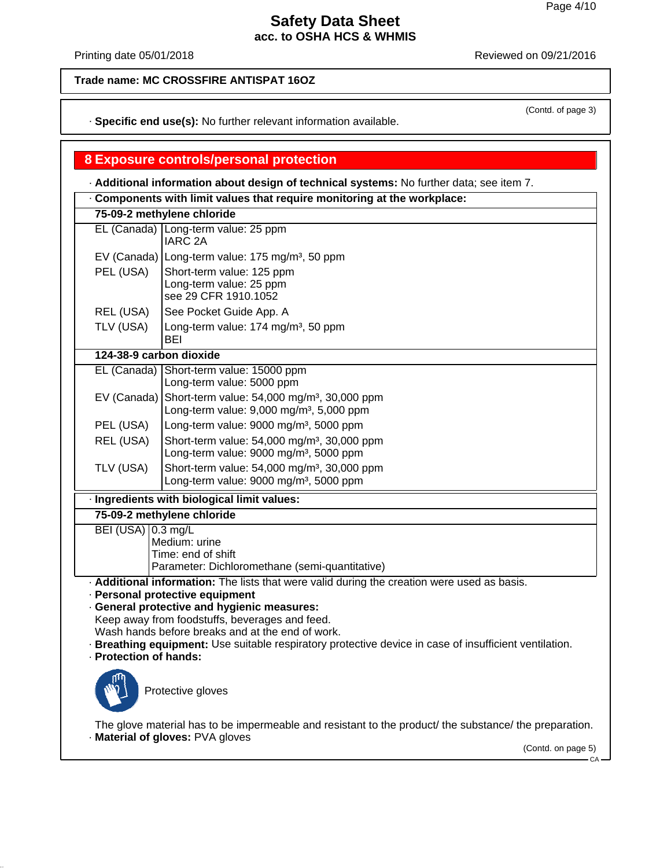(Contd. of page 3)

## **Safety Data Sheet acc. to OSHA HCS & WHMIS**

Printing date 05/01/2018 **Printing date 05/01/2018** Reviewed on 09/21/2016

## **Trade name: MC CROSSFIRE ANTISPAT 16OZ**

· **Specific end use(s):** No further relevant information available.

## **8 Exposure controls/personal protection**

· **Additional information about design of technical systems:** No further data; see item 7.

| Components with limit values that require monitoring at the workplace: |                                                                                                                                                                                                                                                                                                                                                                                               |  |
|------------------------------------------------------------------------|-----------------------------------------------------------------------------------------------------------------------------------------------------------------------------------------------------------------------------------------------------------------------------------------------------------------------------------------------------------------------------------------------|--|
|                                                                        | 75-09-2 methylene chloride                                                                                                                                                                                                                                                                                                                                                                    |  |
|                                                                        | EL (Canada) Long-term value: 25 ppm<br><b>IARC 2A</b>                                                                                                                                                                                                                                                                                                                                         |  |
|                                                                        | EV (Canada) Long-term value: 175 mg/m <sup>3</sup> , 50 ppm                                                                                                                                                                                                                                                                                                                                   |  |
| PEL (USA)                                                              | Short-term value: 125 ppm<br>Long-term value: 25 ppm<br>see 29 CFR 1910.1052                                                                                                                                                                                                                                                                                                                  |  |
| REL (USA)                                                              | See Pocket Guide App. A                                                                                                                                                                                                                                                                                                                                                                       |  |
| TLV (USA)                                                              | Long-term value: 174 mg/m <sup>3</sup> , 50 ppm<br>BEI                                                                                                                                                                                                                                                                                                                                        |  |
| 124-38-9 carbon dioxide                                                |                                                                                                                                                                                                                                                                                                                                                                                               |  |
|                                                                        | EL (Canada) Short-term value: 15000 ppm<br>Long-term value: 5000 ppm                                                                                                                                                                                                                                                                                                                          |  |
|                                                                        | EV (Canada) Short-term value: $54,000$ mg/m <sup>3</sup> , 30,000 ppm<br>Long-term value: 9,000 mg/m <sup>3</sup> , 5,000 ppm                                                                                                                                                                                                                                                                 |  |
| PEL (USA)                                                              | Long-term value: 9000 mg/m <sup>3</sup> , 5000 ppm                                                                                                                                                                                                                                                                                                                                            |  |
| REL (USA)                                                              | Short-term value: 54,000 mg/m <sup>3</sup> , 30,000 ppm<br>Long-term value: 9000 mg/m <sup>3</sup> , 5000 ppm                                                                                                                                                                                                                                                                                 |  |
| TLV (USA)                                                              | Short-term value: 54,000 mg/m <sup>3</sup> , 30,000 ppm<br>Long-term value: 9000 mg/m <sup>3</sup> , 5000 ppm                                                                                                                                                                                                                                                                                 |  |
|                                                                        | · Ingredients with biological limit values:                                                                                                                                                                                                                                                                                                                                                   |  |
|                                                                        | 75-09-2 methylene chloride                                                                                                                                                                                                                                                                                                                                                                    |  |
| BEI (USA) 0.3 mg/L                                                     | Medium: urine<br>Time: end of shift<br>Parameter: Dichloromethane (semi-quantitative)                                                                                                                                                                                                                                                                                                         |  |
| · Protection of hands:                                                 | . Additional information: The lists that were valid during the creation were used as basis.<br>· Personal protective equipment<br>· General protective and hygienic measures:<br>Keep away from foodstuffs, beverages and feed.<br>Wash hands before breaks and at the end of work.<br>· Breathing equipment: Use suitable respiratory protective device in case of insufficient ventilation. |  |
|                                                                        | Protective gloves                                                                                                                                                                                                                                                                                                                                                                             |  |
|                                                                        | The glove material has to be impermeable and resistant to the product/ the substance/ the preparation.<br>· Material of gloves: PVA gloves                                                                                                                                                                                                                                                    |  |
|                                                                        | (Contd. on page 5)                                                                                                                                                                                                                                                                                                                                                                            |  |

CA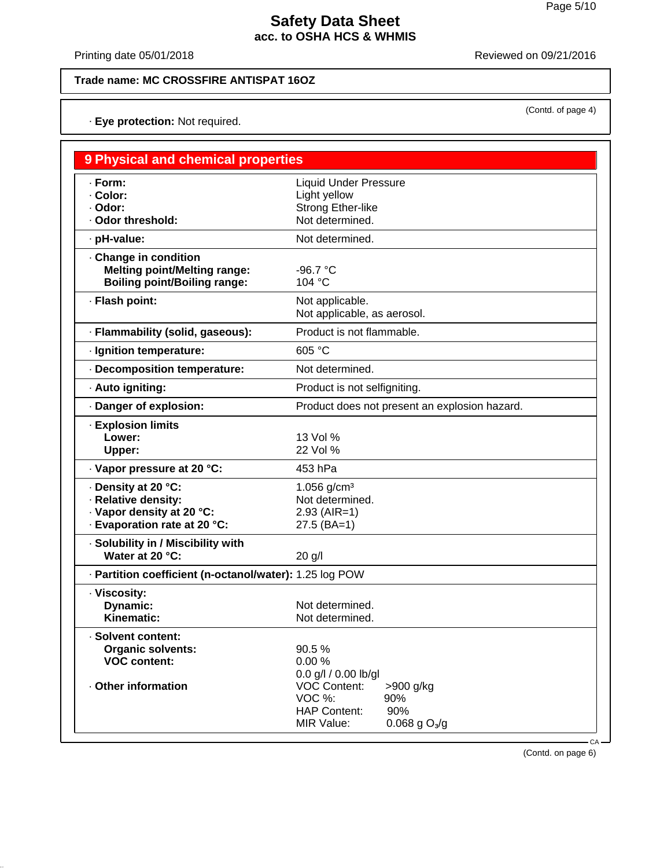(Contd. of page 4)

## **Safety Data Sheet acc. to OSHA HCS & WHMIS**

Printing date 05/01/2018 **Printing date 05/01/2018** Reviewed on 09/21/2016

## **Trade name: MC CROSSFIRE ANTISPAT 16OZ**

· **Eye protection:** Not required.

| 9 Physical and chemical properties                                                                      |                                                                                                 |
|---------------------------------------------------------------------------------------------------------|-------------------------------------------------------------------------------------------------|
| · Form:<br>- Color:<br>· Odor:<br>· Odor threshold:                                                     | <b>Liquid Under Pressure</b><br>Light yellow<br><b>Strong Ether-like</b><br>Not determined.     |
| · pH-value:                                                                                             | Not determined.                                                                                 |
| Change in condition<br><b>Melting point/Melting range:</b><br><b>Boiling point/Boiling range:</b>       | $-96.7 °C$<br>104 °C                                                                            |
| · Flash point:                                                                                          | Not applicable.<br>Not applicable, as aerosol.                                                  |
| · Flammability (solid, gaseous):                                                                        | Product is not flammable.                                                                       |
| · Ignition temperature:                                                                                 | 605 °C                                                                                          |
| · Decomposition temperature:                                                                            | Not determined.                                                                                 |
| · Auto igniting:                                                                                        | Product is not selfigniting.                                                                    |
| Danger of explosion:                                                                                    | Product does not present an explosion hazard.                                                   |
| · Explosion limits<br>Lower:<br>Upper:                                                                  | 13 Vol %<br>22 Vol %                                                                            |
| · Vapor pressure at 20 °C:                                                                              | 453 hPa                                                                                         |
| · Density at 20 °C:<br>· Relative density:<br>· Vapor density at 20 °C:<br>· Evaporation rate at 20 °C: | 1.056 $g/cm3$<br>Not determined.<br>$2.93$ (AIR=1)<br>$27.5$ (BA=1)                             |
| · Solubility in / Miscibility with<br>Water at 20 °C:                                                   | 20 g/l                                                                                          |
| · Partition coefficient (n-octanol/water): 1.25 log POW                                                 |                                                                                                 |
| · Viscosity:<br>Dynamic:<br>Kinematic:                                                                  | Not determined.<br>Not determined.                                                              |
| · Solvent content:<br><b>Organic solvents:</b><br><b>VOC content:</b><br>· Other information            | 90.5 %<br>0.00%<br>0.0 g/l / 0.00 lb/gl<br><b>VOC Content:</b><br>>900 g/kg                     |
|                                                                                                         | VOC %:<br>90%<br>90%<br><b>HAP Content:</b><br>$0.068$ g O <sub>3</sub> /g<br>MIR Value:<br>CA- |

(Contd. on page 6)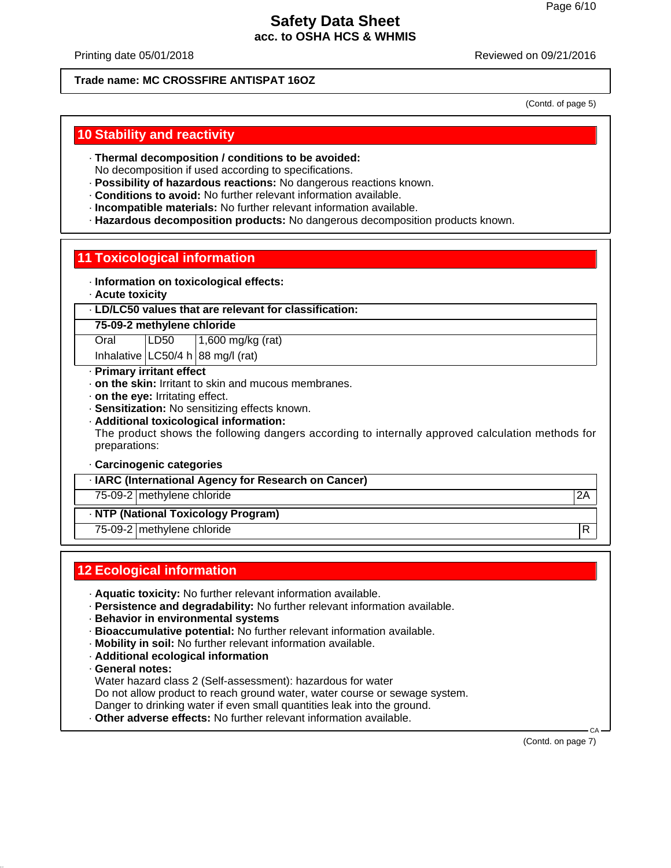Printing date 05/01/2018 Reviewed on 09/21/2016

### **Trade name: MC CROSSFIRE ANTISPAT 16OZ**

(Contd. of page 5)

## **10 Stability and reactivity**

- · **Thermal decomposition / conditions to be avoided:**
- No decomposition if used according to specifications.
- · **Possibility of hazardous reactions:** No dangerous reactions known.
- · **Conditions to avoid:** No further relevant information available.
- · **Incompatible materials:** No further relevant information available.
- · **Hazardous decomposition products:** No dangerous decomposition products known.

# **11 Toxicological information**

- · **Information on toxicological effects:**
- · **Acute toxicity**
- · **LD/LC50 values that are relevant for classification:**
- **75-09-2 methylene chloride**

Oral LD50 1,600 mg/kg (rat) Inhalative  $LC50/4$  h 88 mg/l (rat)

- · **Primary irritant effect**
- · **on the skin:** Irritant to skin and mucous membranes.
- · **on the eye:** Irritating effect.
- · **Sensitization:** No sensitizing effects known.
- · **Additional toxicological information:**

The product shows the following dangers according to internally approved calculation methods for preparations:

· **Carcinogenic categories**

· **IARC (International Agency for Research on Cancer)**

75-09-2 methylene chloride 2A

## · **NTP (National Toxicology Program)**

75-09-2 methylene chloride R

# **12 Ecological information**

- · **Aquatic toxicity:** No further relevant information available.
- · **Persistence and degradability:** No further relevant information available.
- · **Behavior in environmental systems**
- · **Bioaccumulative potential:** No further relevant information available.
- · **Mobility in soil:** No further relevant information available.
- · **Additional ecological information**
- · **General notes:**
- Water hazard class 2 (Self-assessment): hazardous for water
- Do not allow product to reach ground water, water course or sewage system.
- Danger to drinking water if even small quantities leak into the ground.
- · **Other adverse effects:** No further relevant information available.

 CA (Contd. on page 7)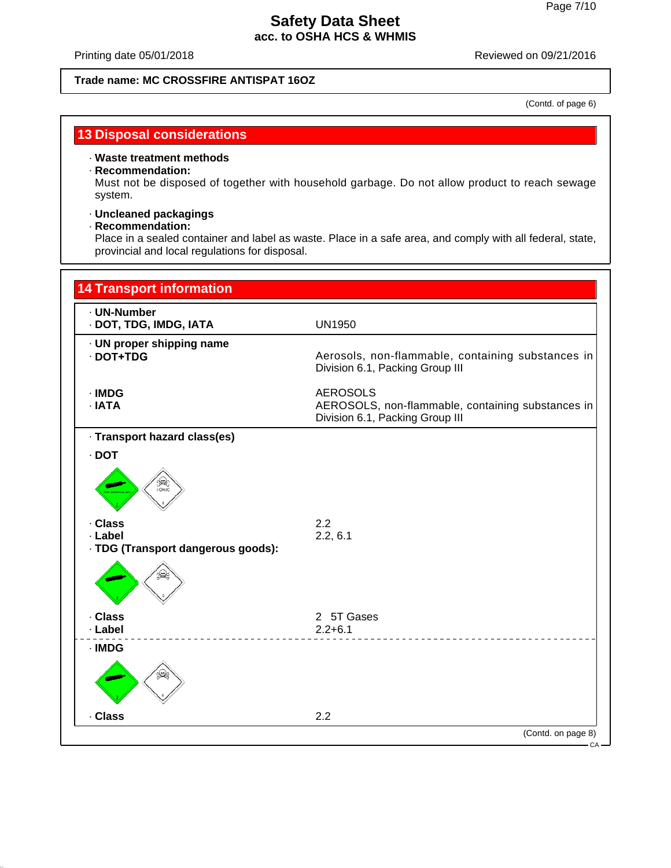Printing date 05/01/2018 **Printing date 05/01/2018** Reviewed on 09/21/2016

#### **Trade name: MC CROSSFIRE ANTISPAT 16OZ**

(Contd. of page 6)

## **13 Disposal considerations**

#### · **Waste treatment methods**

#### · **Recommendation:**

Must not be disposed of together with household garbage. Do not allow product to reach sewage system.

## · **Uncleaned packagings**

#### · **Recommendation:**

Place in a sealed container and label as waste. Place in a safe area, and comply with all federal, state, provincial and local regulations for disposal.

| <b>14 Transport information</b>                          |                                                                                                         |
|----------------------------------------------------------|---------------------------------------------------------------------------------------------------------|
| · UN-Number<br>· DOT, TDG, IMDG, IATA                    | <b>UN1950</b>                                                                                           |
| · UN proper shipping name<br>· DOT+TDG                   | Aerosols, non-flammable, containing substances in<br>Division 6.1, Packing Group III                    |
| $\cdot$ IMDG<br>· IATA                                   | <b>AEROSOLS</b><br>AEROSOLS, non-flammable, containing substances in<br>Division 6.1, Packing Group III |
| · Transport hazard class(es)                             |                                                                                                         |
| $\cdot$ DOT                                              |                                                                                                         |
| ි <del>සි</del> ද්<br>10xic                              |                                                                                                         |
| . Class<br>· Label<br>· TDG (Transport dangerous goods): | 2.2<br>2.2, 6.1                                                                                         |
|                                                          |                                                                                                         |
| . Class                                                  | 2 5T Gases                                                                                              |
| · Label                                                  | $2.2 + 6.1$                                                                                             |
| · IMDG                                                   |                                                                                                         |
| . Class                                                  | 2.2                                                                                                     |
|                                                          | (Contd. on page 8)                                                                                      |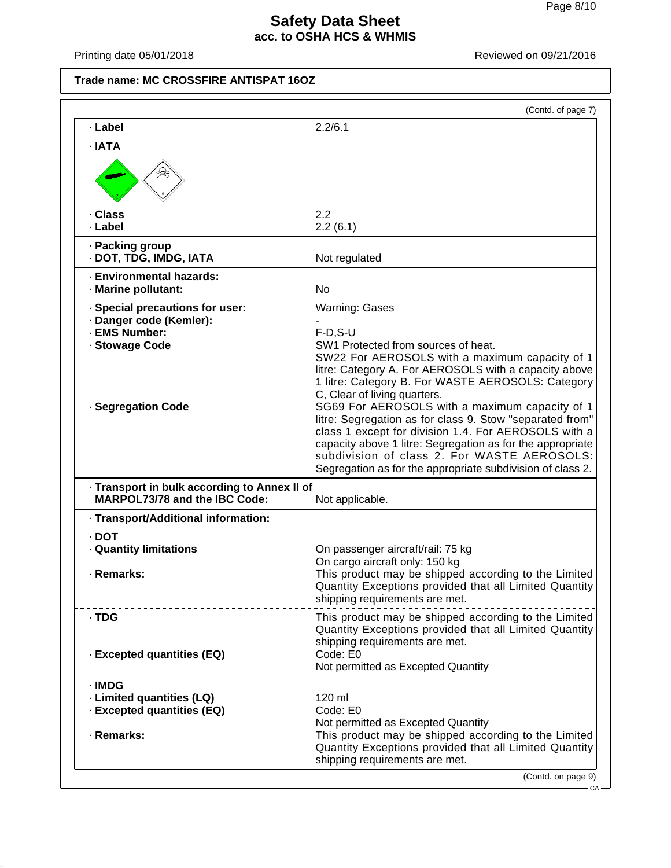Printing date 05/01/2018 **Printing** date 05/01/2018

**Trade name: MC CROSSFIRE ANTISPAT 16OZ**

|                                                                                                                     | (Contd. of page 7)                                                                                                                                                                                                                                                                                                                                                                                                                                                                                                                                                                                                          |
|---------------------------------------------------------------------------------------------------------------------|-----------------------------------------------------------------------------------------------------------------------------------------------------------------------------------------------------------------------------------------------------------------------------------------------------------------------------------------------------------------------------------------------------------------------------------------------------------------------------------------------------------------------------------------------------------------------------------------------------------------------------|
| · Label                                                                                                             | 2.2/6.1                                                                                                                                                                                                                                                                                                                                                                                                                                                                                                                                                                                                                     |
| · IATA                                                                                                              |                                                                                                                                                                                                                                                                                                                                                                                                                                                                                                                                                                                                                             |
| . Class<br>· Label                                                                                                  | 2.2<br>2.2(6.1)                                                                                                                                                                                                                                                                                                                                                                                                                                                                                                                                                                                                             |
| · Packing group<br>· DOT, TDG, IMDG, IATA                                                                           | Not regulated                                                                                                                                                                                                                                                                                                                                                                                                                                                                                                                                                                                                               |
| · Environmental hazards:<br>· Marine pollutant:                                                                     | <b>No</b>                                                                                                                                                                                                                                                                                                                                                                                                                                                                                                                                                                                                                   |
| · Special precautions for user:<br>· Danger code (Kemler):<br>· EMS Number:<br>· Stowage Code<br>· Segregation Code | <b>Warning: Gases</b><br>$F-D, S-U$<br>SW1 Protected from sources of heat.<br>SW22 For AEROSOLS with a maximum capacity of 1<br>litre: Category A. For AEROSOLS with a capacity above<br>1 litre: Category B. For WASTE AEROSOLS: Category<br>C, Clear of living quarters.<br>SG69 For AEROSOLS with a maximum capacity of 1<br>litre: Segregation as for class 9. Stow "separated from"<br>class 1 except for division 1.4. For AEROSOLS with a<br>capacity above 1 litre: Segregation as for the appropriate<br>subdivision of class 2. For WASTE AEROSOLS:<br>Segregation as for the appropriate subdivision of class 2. |
| - Transport in bulk according to Annex II of<br>MARPOL73/78 and the IBC Code:                                       | Not applicable.                                                                                                                                                                                                                                                                                                                                                                                                                                                                                                                                                                                                             |
| · Transport/Additional information:                                                                                 |                                                                                                                                                                                                                                                                                                                                                                                                                                                                                                                                                                                                                             |
| $\cdot$ DOT<br><b>Quantity limitations</b><br>· Remarks:                                                            | On passenger aircraft/rail: 75 kg<br>On cargo aircraft only: 150 kg<br>This product may be shipped according to the Limited<br>Quantity Exceptions provided that all Limited Quantity<br>shipping requirements are met.                                                                                                                                                                                                                                                                                                                                                                                                     |
| · TDG<br>· Excepted quantities (EQ)                                                                                 | This product may be shipped according to the Limited<br>Quantity Exceptions provided that all Limited Quantity<br>shipping requirements are met.<br>Code: E0<br>Not permitted as Excepted Quantity                                                                                                                                                                                                                                                                                                                                                                                                                          |
| · IMDG<br>· Limited quantities (LQ)<br>· Excepted quantities (EQ)<br>· Remarks:                                     | $120 \text{ ml}$<br>Code: E0<br>Not permitted as Excepted Quantity<br>This product may be shipped according to the Limited<br>Quantity Exceptions provided that all Limited Quantity<br>shipping requirements are met.                                                                                                                                                                                                                                                                                                                                                                                                      |
|                                                                                                                     | (Contd. on page 9)<br>$CA -$                                                                                                                                                                                                                                                                                                                                                                                                                                                                                                                                                                                                |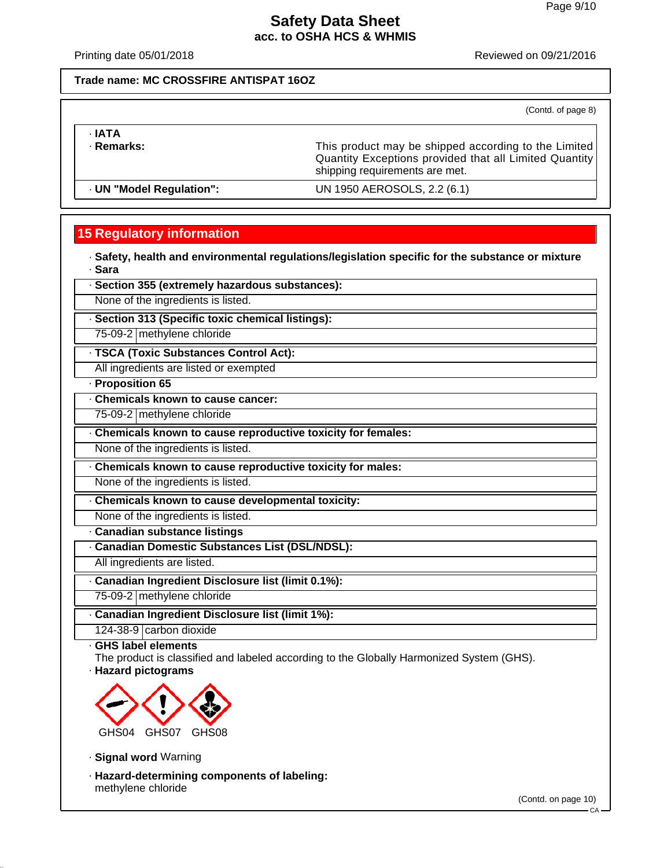Printing date 05/01/2018 Reviewed on 09/21/2016

#### **Trade name: MC CROSSFIRE ANTISPAT 16OZ**

(Contd. of page 8)

· **IATA**

· **Remarks:** This product may be shipped according to the Limited **Remarks:** This product may be shipped according to the Limited Quantity Exceptions provided that all Limited Quantity shipping requirements are met.

· **UN "Model Regulation":** UN 1950 AEROSOLS, 2.2 (6.1)

## **15 Regulatory information**

· **Safety, health and environmental regulations/legislation specific for the substance or mixture** · **Sara**

· **Section 355 (extremely hazardous substances):**

None of the ingredients is listed.

· **Section 313 (Specific toxic chemical listings):**

75-09-2 methylene chloride

· **TSCA (Toxic Substances Control Act):**

All ingredients are listed or exempted

#### · **Proposition 65**

· **Chemicals known to cause cancer:**

75-09-2 methylene chloride

· **Chemicals known to cause reproductive toxicity for females:**

None of the ingredients is listed.

· **Chemicals known to cause reproductive toxicity for males:**

None of the ingredients is listed.

· **Chemicals known to cause developmental toxicity:**

None of the ingredients is listed.

· **Canadian substance listings**

· **Canadian Domestic Substances List (DSL/NDSL):**

All ingredients are listed.

· **Canadian Ingredient Disclosure list (limit 0.1%):**

75-09-2 methylene chloride

· **Canadian Ingredient Disclosure list (limit 1%):**

124-38-9 carbon dioxide

· **GHS label elements**

The product is classified and labeled according to the Globally Harmonized System (GHS). · **Hazard pictograms**



· **Signal word** Warning

· **Hazard-determining components of labeling:** methylene chloride

(Contd. on page 10)

CA